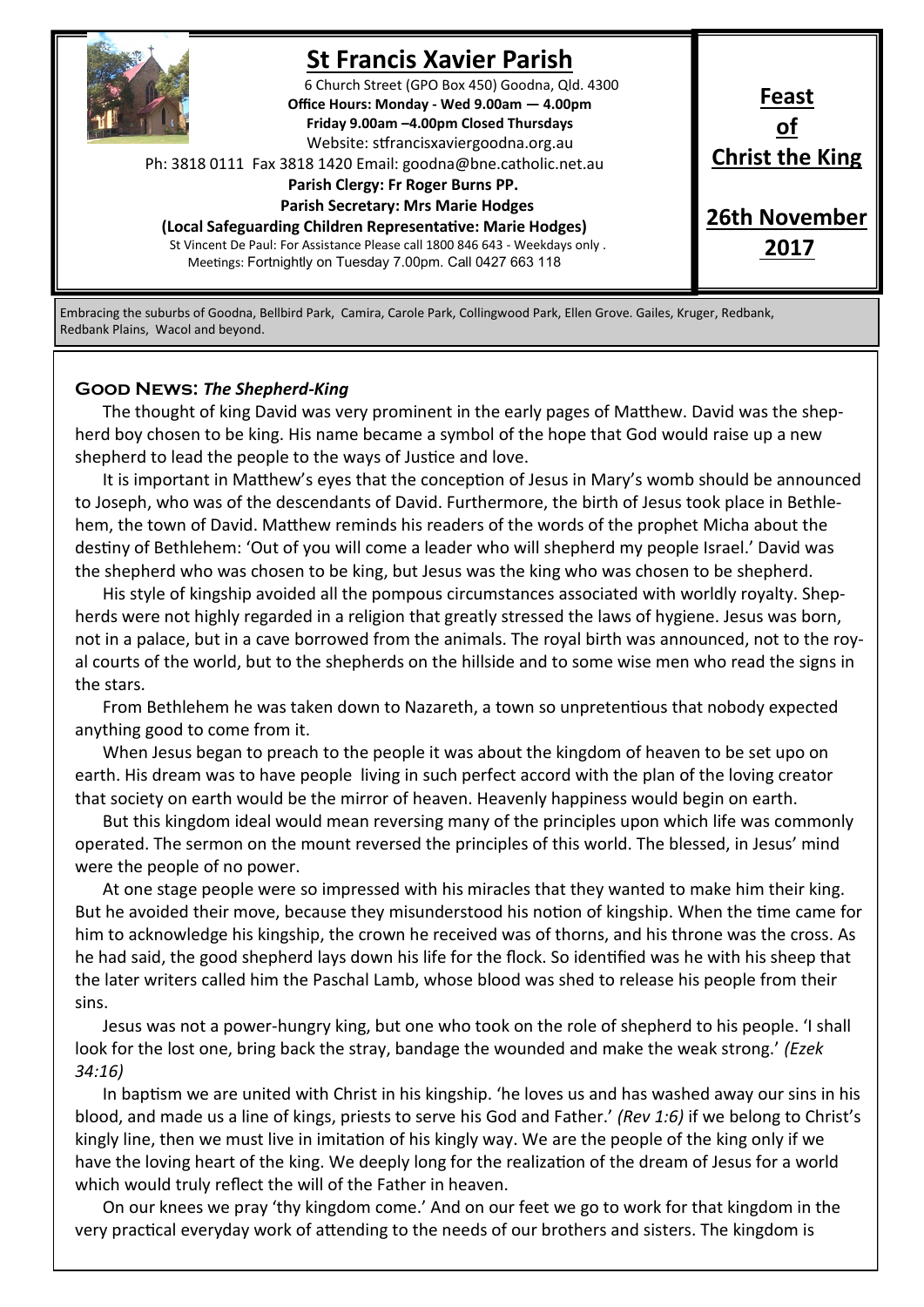

# **St Francis Xavier Parish**

6 Church Street (GPO Box 450) Goodna, Qld. 4300 **Office Hours: Monday - Wed 9.00am — 4.00pm Friday 9.00am –4.00pm Closed Thursdays**  Website: stfrancisxaviergoodna.org.au

Ph: 3818 0111 Fax 3818 1420 Email: goodna@bne.catholic.net.au

#### **Parish Clergy: Fr Roger Burns PP.**

 **Parish Secretary: Mrs Marie Hodges**

**(Local Safeguarding Children Representative: Marie Hodges)** St Vincent De Paul: For Assistance Please call 1800 846 643 - Weekdays only . Meetings: Fortnightly on Tuesday 7.00pm. Call 0427 663 118

**Feast of Christ the King 26th November**

**2017**

Embracing the suburbs of Goodna, Bellbird Park, Camira, Carole Park, Collingwood Park, Ellen Grove. Gailes, Kruger, Redbank, Redbank Plains, Wacol and beyond.

### **Good News:** *The Shepherd-King*

The thought of king David was very prominent in the early pages of Matthew. David was the shepherd boy chosen to be king. His name became a symbol of the hope that God would raise up a new shepherd to lead the people to the ways of Justice and love.

It is important in Matthew's eyes that the conception of Jesus in Mary's womb should be announced to Joseph, who was of the descendants of David. Furthermore, the birth of Jesus took place in Bethlehem, the town of David. Matthew reminds his readers of the words of the prophet Micha about the destiny of Bethlehem: 'Out of you will come a leader who will shepherd my people Israel.' David was the shepherd who was chosen to be king, but Jesus was the king who was chosen to be shepherd.

His style of kingship avoided all the pompous circumstances associated with worldly royalty. Shepherds were not highly regarded in a religion that greatly stressed the laws of hygiene. Jesus was born, not in a palace, but in a cave borrowed from the animals. The royal birth was announced, not to the royal courts of the world, but to the shepherds on the hillside and to some wise men who read the signs in the stars.

From Bethlehem he was taken down to Nazareth, a town so unpretentious that nobody expected anything good to come from it.

When Jesus began to preach to the people it was about the kingdom of heaven to be set upo on earth. His dream was to have people living in such perfect accord with the plan of the loving creator that society on earth would be the mirror of heaven. Heavenly happiness would begin on earth.

But this kingdom ideal would mean reversing many of the principles upon which life was commonly operated. The sermon on the mount reversed the principles of this world. The blessed, in Jesus' mind were the people of no power.

At one stage people were so impressed with his miracles that they wanted to make him their king. But he avoided their move, because they misunderstood his notion of kingship. When the time came for him to acknowledge his kingship, the crown he received was of thorns, and his throne was the cross. As he had said, the good shepherd lays down his life for the flock. So identified was he with his sheep that the later writers called him the Paschal Lamb, whose blood was shed to release his people from their sins.

Jesus was not a power-hungry king, but one who took on the role of shepherd to his people. 'I shall look for the lost one, bring back the stray, bandage the wounded and make the weak strong.' *(Ezek 34:16)*

In baptism we are united with Christ in his kingship. 'he loves us and has washed away our sins in his blood, and made us a line of kings, priests to serve his God and Father.' *(Rev 1:6)* if we belong to Christ's kingly line, then we must live in imitation of his kingly way. We are the people of the king only if we have the loving heart of the king. We deeply long for the realization of the dream of Jesus for a world which would truly reflect the will of the Father in heaven.

On our knees we pray 'thy kingdom come.' And on our feet we go to work for that kingdom in the very practical everyday work of attending to the needs of our brothers and sisters. The kingdom is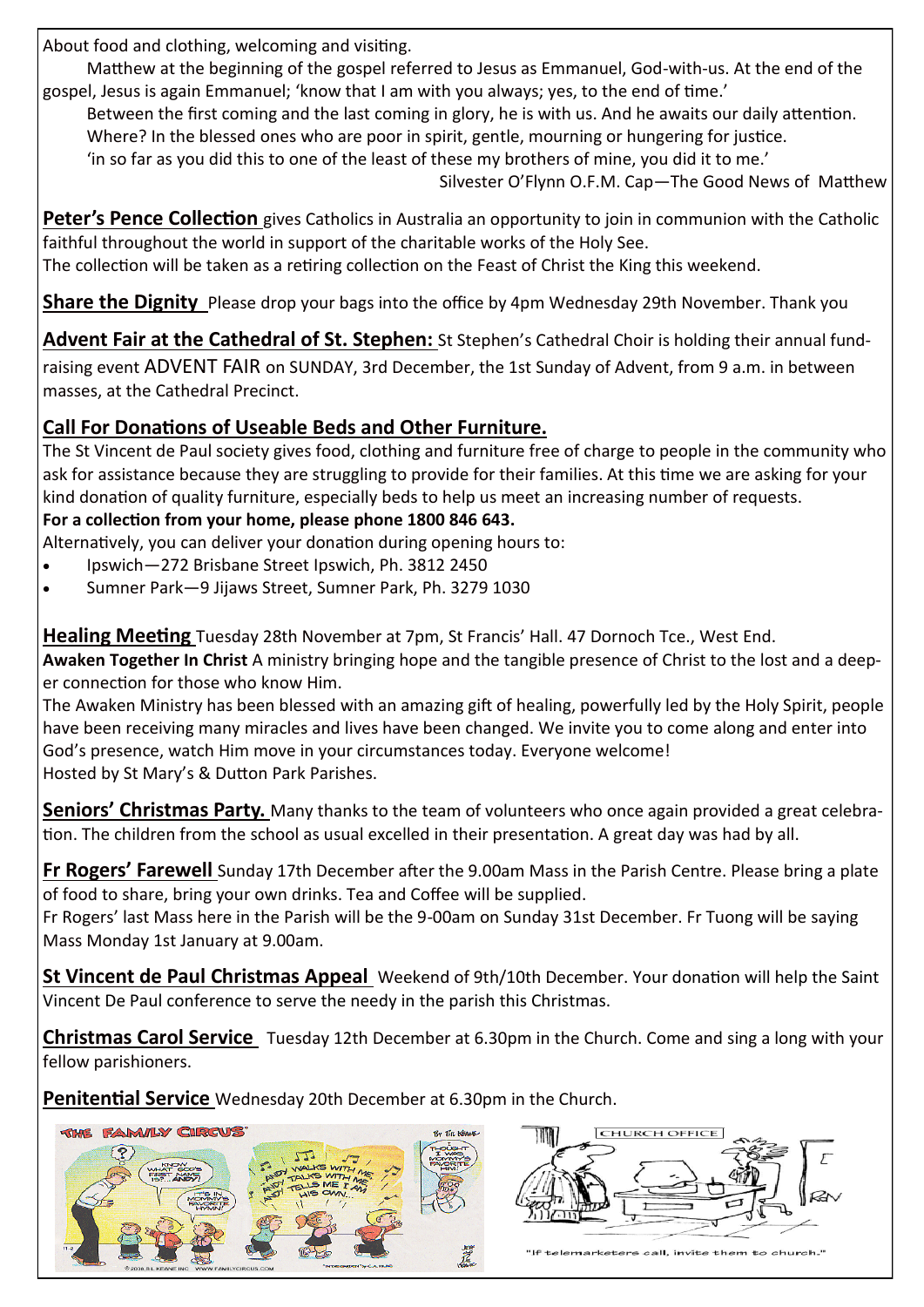About food and clothing, welcoming and visiting.

Matthew at the beginning of the gospel referred to Jesus as Emmanuel, God-with-us. At the end of the gospel, Jesus is again Emmanuel; 'know that I am with you always; yes, to the end of time.'

Between the first coming and the last coming in glory, he is with us. And he awaits our daily attention.

Where? In the blessed ones who are poor in spirit, gentle, mourning or hungering for justice.

'in so far as you did this to one of the least of these my brothers of mine, you did it to me.'

Silvester O'Flynn O.F.M. Cap—The Good News of Matthew

**Peter's Pence Collection** gives Catholics in Australia an opportunity to join in communion with the Catholic faithful throughout the world in support of the charitable works of the Holy See.

The collection will be taken as a retiring collection on the Feast of Christ the King this weekend.

**Share the Dignity** Please drop your bags into the office by 4pm Wednesday 29th November. Thank you

**Advent Fair at the Cathedral of St. Stephen:** St Stephen's Cathedral Choir is holding their annual fundraising event ADVENT FAIR on SUNDAY, 3rd December, the 1st Sunday of Advent, from 9 a.m. in between masses, at the Cathedral Precinct.

## **Call For Donations of Useable Beds and Other Furniture.**

The St Vincent de Paul society gives food, clothing and furniture free of charge to people in the community who ask for assistance because they are struggling to provide for their families. At this time we are asking for your kind donation of quality furniture, especially beds to help us meet an increasing number of requests.

### **For a collection from your home, please phone 1800 846 643.**

- Alternatively, you can deliver your donation during opening hours to:
- Ipswich—272 Brisbane Street Ipswich, Ph. 3812 2450
- Sumner Park—9 Jijaws Street, Sumner Park, Ph. 3279 1030

**Healing Meeting** Tuesday 28th November at 7pm, St Francis' Hall. 47 Dornoch Tce., West End.

**Awaken Together In Christ** A ministry bringing hope and the tangible presence of Christ to the lost and a deeper connection for those who know Him.

The Awaken Ministry has been blessed with an amazing gift of healing, powerfully led by the Holy Spirit, people have been receiving many miracles and lives have been changed. We invite you to come along and enter into God's presence, watch Him move in your circumstances today. Everyone welcome! Hosted by St Mary's & Dutton Park Parishes.

**Seniors' Christmas Party.** Many thanks to the team of volunteers who once again provided a great celebration. The children from the school as usual excelled in their presentation. A great day was had by all.

**Fr Rogers' Farewell** Sunday 17th December after the 9.00am Mass in the Parish Centre. Please bring a plate of food to share, bring your own drinks. Tea and Coffee will be supplied.

Fr Rogers' last Mass here in the Parish will be the 9-00am on Sunday 31st December. Fr Tuong will be saying Mass Monday 1st January at 9.00am.

**St Vincent de Paul Christmas Appeal** Weekend of 9th/10th December. Your donation will help the Saint Vincent De Paul conference to serve the needy in the parish this Christmas.

**Christmas Carol Service** Tuesday 12th December at 6.30pm in the Church. Come and sing a long with your fellow parishioners.

**Penitential Service** Wednesday 20th December at 6.30pm in the Church.

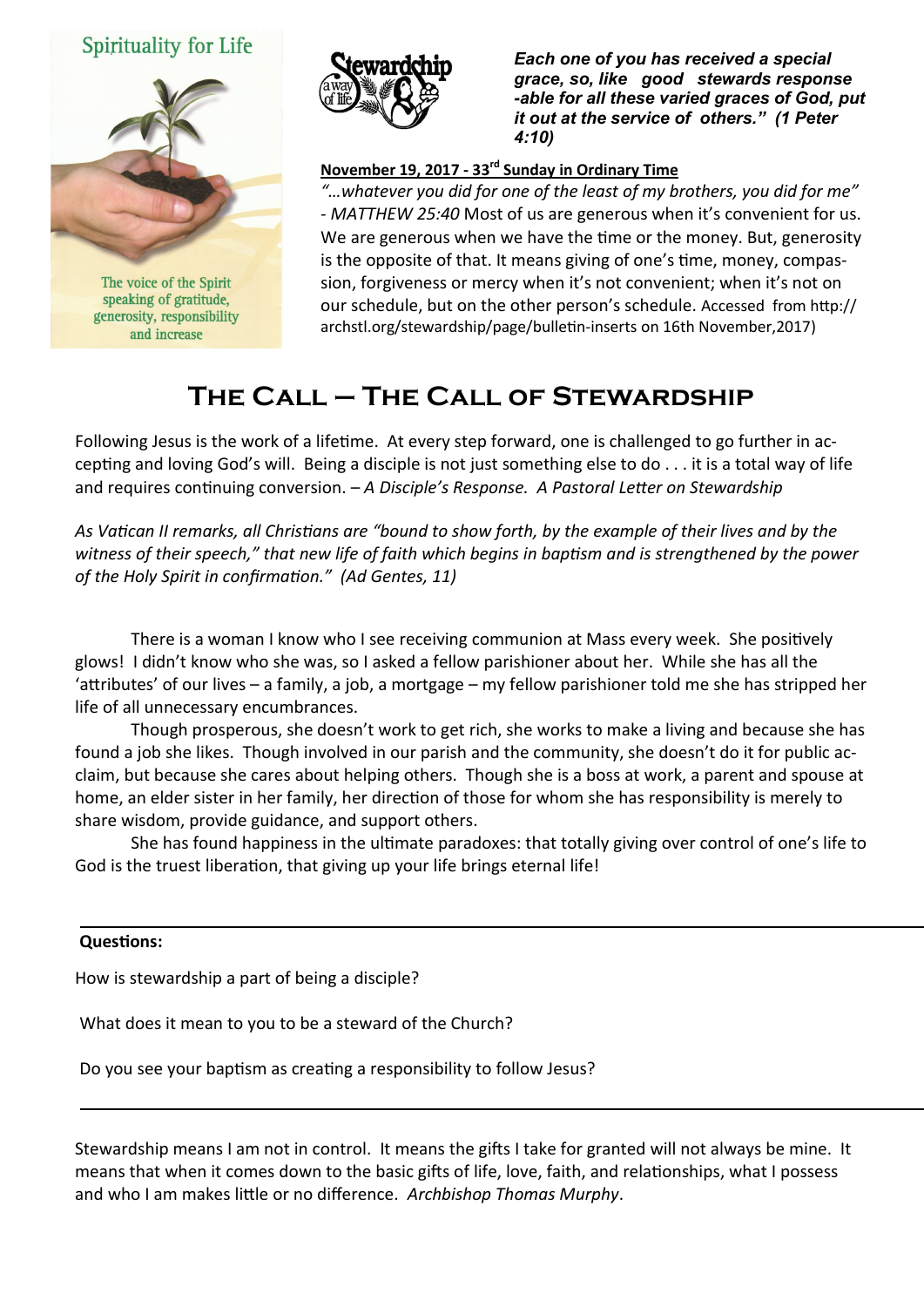## Spirituality for Life



speaking of gratitude, generosity, responsibility and increase



*Each one of you has received a special grace, so, like good stewards response -able for all these varied graces of God, put it out at the service of others." (1 Peter 4:10)* 

### **November 19, 2017 - 33rd Sunday in Ordinary Time**

*"…whatever you did for one of the least of my brothers, you did for me" - MATTHEW 25:40* Most of us are generous when it's convenient for us. We are generous when we have the time or the money. But, generosity is the opposite of that. It means giving of one's time, money, compassion, forgiveness or mercy when it's not convenient; when it's not on our schedule, but on the other person's schedule. Accessed from http:// archstl.org/stewardship/page/bulletin-inserts on 16th November,2017)

# **The Call – The Call of Stewardship**

Following Jesus is the work of a lifetime. At every step forward, one is challenged to go further in accepting and loving God's will. Being a disciple is not just something else to do . . . it is a total way of life and requires continuing conversion. – *A Disciple's Response. A Pastoral Letter on Stewardship*

*As Vatican II remarks, all Christians are "bound to show forth, by the example of their lives and by the witness of their speech," that new life of faith which begins in baptism and is strengthened by the power of the Holy Spirit in confirmation." (Ad Gentes, 11)*

There is a woman I know who I see receiving communion at Mass every week. She positively glows! I didn't know who she was, so I asked a fellow parishioner about her. While she has all the 'attributes' of our lives – a family, a job, a mortgage – my fellow parishioner told me she has stripped her life of all unnecessary encumbrances.

Though prosperous, she doesn't work to get rich, she works to make a living and because she has found a job she likes. Though involved in our parish and the community, she doesn't do it for public acclaim, but because she cares about helping others. Though she is a boss at work, a parent and spouse at home, an elder sister in her family, her direction of those for whom she has responsibility is merely to share wisdom, provide guidance, and support others.

She has found happiness in the ultimate paradoxes: that totally giving over control of one's life to God is the truest liberation, that giving up your life brings eternal life!

#### **Questions:**

How is stewardship a part of being a disciple?

What does it mean to you to be a steward of the Church?

Do you see your baptism as creating a responsibility to follow Jesus?

Stewardship means I am not in control. It means the gifts I take for granted will not always be mine. It means that when it comes down to the basic gifts of life, love, faith, and relationships, what I possess and who I am makes little or no difference. *Archbishop Thomas Murphy*.